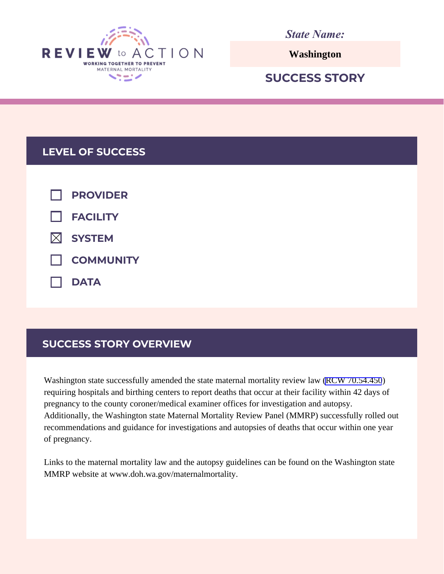

*State Name:*

**Washington**

# **SUCCESS STORY**

## **LEVEL OF SUCCESS**

| $\Box$ PROVIDER    |
|--------------------|
| $\Box$ FACILITY    |
| $\boxtimes$ SYSTEM |
| COMMUNITY          |
| $\Box$ DATA        |

## **SUCCESS STORY OVERVIEW**

Washington state successfully amended the state maternal mortality review law [\(RCW 70.54.450](https://app.leg.wa.gov/RCW/default.aspx?cite=70.54.450)) requiring hospitals and birthing centers to report deaths that occur at their facility within 42 days of pregnancy to the county coroner/medical examiner offices for investigation and autopsy. Additionally, the Washington state Maternal Mortality Review Panel (MMRP) successfully rolled out recommendations and guidance for investigations and autopsies of deaths that occur within one year of pregnancy.

Links to the maternal mortality law and the autopsy guidelines can be found on the Washington state MMRP website at www.doh.wa.gov/maternalmortality.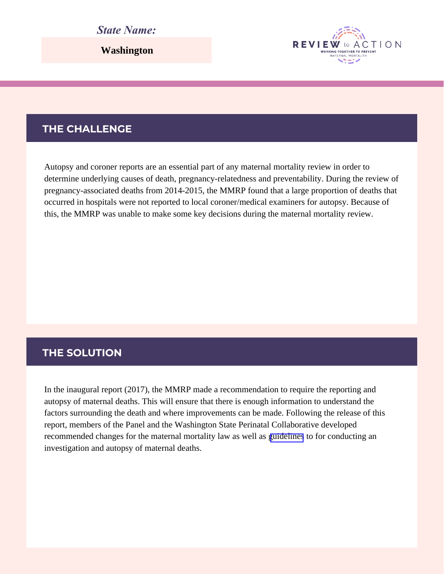#### *State Name:*

**Washington**

#### **THE CHALLENGE**

Autopsy and coroner reports are an essential part of any maternal mortality review in order to determine underlying causes of death, pregnancy-relatedness and preventability. During the review of pregnancy-associated deaths from 2014-2015, the MMRP found that a large proportion of deaths that occurred in hospitals were not reported to local coroner/medical examiners for autopsy. Because of this, the MMRP was unable to make some key decisions during the maternal mortality review.

**REVIEW** 

WORKING TOGETHER TO PREVEN

ACTION

#### **THE SOLUTION**

In the inaugural report (2017), the MMRP made a recommendation to require the reporting and autopsy of maternal deaths. This will ensure that there is enough information to understand the factors surrounding the death and where improvements can be made. Following the release of this report, members of the Panel and the Washington State Perinatal Collaborative developed recommended changes for the maternal mortality law as well as [guidelines](https://www.doh.wa.gov/Portals/1/Documents/Pubs/350-030-MMRAutopsyGuidelines.pdf) to for conducting an investigation and autopsy of maternal deaths.